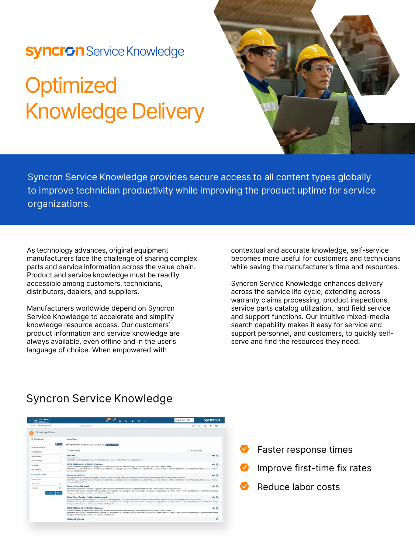## **Syncron** Service Knowledge

# **Optimized** Knowledge Delivery



Syncron Service Knowledge provides secure access to all content types globally to improve technician productivity while improving the product uptime for **service organizations.**

As technology advances, original equipment manufacturers face the challenge of sharing complex parts and service information across the value chain. Product and service knowledge must be readily accessible among customers, technicians, distributors, dealers, and suppliers.

Manufacturers worldwide depend on Syncron Service Knowledge to accelerate and simplify knowledge resource access. Our customers' product information and service knowledge are always available, even offline and in the user's language of choice. When empowered with

contextual and accurate knowledge, self-service becomes more useful for customers and technicians while saving the manufacturer's time and resources.

Syncron Service Knowledge enhances delivery across the service life cycle, extending across warranty claims processing, product inspections, service parts catalog utilization, and field service and support functions. Our intuitive mixed-media search capability makes it easy for service and support personnel, and customers, to quickly selfserve and find the resources they need.

### **Syncron Service Knowledge**

| .e.<br>,,,,,,,,,<br><b>CENTRAL</b>   |                |                                                                                                                                                                                                                                                                                                                                                                                                                                                                                                                                                                                   | EUGHNI (not - now - »<br>эунчин |  |
|--------------------------------------|----------------|-----------------------------------------------------------------------------------------------------------------------------------------------------------------------------------------------------------------------------------------------------------------------------------------------------------------------------------------------------------------------------------------------------------------------------------------------------------------------------------------------------------------------------------------------------------------------------------|---------------------------------|--|
| Sweeth In<br><b>Krowledge Carder</b> |                | Dart Searching                                                                                                                                                                                                                                                                                                                                                                                                                                                                                                                                                                    | 00                              |  |
| Knowledge Center                     |                |                                                                                                                                                                                                                                                                                                                                                                                                                                                                                                                                                                                   |                                 |  |
| <b>C</b> Fiber Benalty               |                | Search Beauty.                                                                                                                                                                                                                                                                                                                                                                                                                                                                                                                                                                    |                                 |  |
|                                      | <b>O</b> Recet | Your request so far: Brand Code Mize Apriculture O Co Estimate and                                                                                                                                                                                                                                                                                                                                                                                                                                                                                                                |                                 |  |
| Max Apriculture - 4<br>Calegory Code | $\sim$         | <b>El Hide Summary</b>                                                                                                                                                                                                                                                                                                                                                                                                                                                                                                                                                            | 1 - 10 of 20 records            |  |
| Model Codes:                         | ×              | WHIT7060<br>Image/exprend<br>modelOpday, Writtell (languages English (8) StandOpday, Max Aproduce   categoryCodes / Vactors   History 37 Sea                                                                                                                                                                                                                                                                                                                                                                                                                                      |                                 |  |
| Document Type                        | $\sim$         |                                                                                                                                                                                                                                                                                                                                                                                                                                                                                                                                                                                   |                                 |  |
| Language                             | $\sim$         | 1857914M4-EN-09-19-TH6030 (s3a).book<br>o n<br>or buckle, 2. CPERATOR CAB (ROPS) and FOPS). It must be on the inleasopic handler with fasteners light. Never operate without right window. 3. SAFETY SIGNS<br>Telephones ALL   categoryNames ALL   models ALL   modelDodes ALL   languages (typia-05   basedDodes ALL   AssessyDodes ALL   visits / 1   Most #1   delives 1   testel/kalkass #1 needPublicasses at part   ALL   ALL   ALL  <br>ALL CALL CALL 7 monter, 2d : 200                                                                                                   |                                 |  |
| No Of Ratings                        | $\sim$         |                                                                                                                                                                                                                                                                                                                                                                                                                                                                                                                                                                                   |                                 |  |
| Search within results                |                | Pininfarina H600.pdf                                                                                                                                                                                                                                                                                                                                                                                                                                                                                                                                                              | $-0.0$                          |  |
| Search Query                         |                | to become a kening portfolio supplying artificial light to the cockoil. This is set enother low element that will characterize the vehicles in the case. The interior of the HECO follows:<br>SnandNames: ALL Leaboprofilemen: ALL Imodels: ALL ImodelDistine: ALL I languages: Duple-US I brandDodes: ALL I compos/Dodes: ALL I Vests: 4 L Debta 10 Uses: 0 Uses: 0 Uses: 0 Uses/Dallaces: 0 1 testimony, 41 series/hybbost                                                                                                                                                      |                                 |  |
| <b>Thart Data</b>                    | m              | ALL 2 ALL CALL [ Wandler, M. 1988                                                                                                                                                                                                                                                                                                                                                                                                                                                                                                                                                 |                                 |  |
| End Date                             | $\equiv$       | System Pump Kit en.pdf<br>0.6<br>54 or system pump kit These instructions apply to the following models. Model Serial number 567 / 577 548 / 578 / 588 596 / 597 / 598 Your model number may not be fisted<br>branchfurnes i.Max-Agresment EditegoryMamms: ALL I models : ALL I models : ALL I languages : bugsakrat   brandCodes : Max Agresman   cotegoryCodes - ALL I visits: +1   likes : 0   Stalikes : 0   statisting : 1 \$ series/Pub                                                                                                                                     |                                 |  |
| Q. Search                            | Clear          | Mon-Aployhum I Man Aployhum EALL EALL CALL EALL EALL Freetor, 30: 259                                                                                                                                                                                                                                                                                                                                                                                                                                                                                                             |                                 |  |
|                                      |                | Clean Grain Elevator Paddle Interference.pdf<br>and vitration. Models Applicable BRANDS MODELS SERIAL NUMBERS Challenger S40C / SKEC Some noise will be present on new machines or machines with new chains installed until the chain has wonn in.<br>Standfaarnes Idoo Agrostus   category/Names ALL Imodels ALL ImodelCodes ALL I languages Deput/101 brandCodes Idoo Agrostus   category/Codes ALL I visits   1   lakes 0   distilues 01 totallustings 0   asingst-philosoperatio<br>RASH Agriculture   More Agriculture   ALL 1 ALL 1 ALL 1 ALL 1 ALL 1 Miles Dec 1 1 And 1 A | 0 <sup>2</sup>                  |  |
|                                      |                | 1857914M4-EN-09-19-TH6030_(s3a).book<br>or buckle, 2. CPERATOR CAB (ROPS) and FOPS). It must be on the telescopic handler with fasteners tight. Never operate without right window. It. SAFETY SIGNS<br>Instructionmes: Inter Agriculture   callegonyNemes: ALL   models: ALL   modelCodes: ALL   languages: Englishuti   brandCodes: Niux Agriculture   categonyCodes: ALL   visits: 0   News 11   disfibes: 0   totalRadiogs: 0   se<br>Mire Aproxities   Mire Aprindture   ALL   ALL   ALL   ALL   ALL   master_30 - 255                                                       | 00                              |  |
|                                      |                | E3Sheet521793.svg                                                                                                                                                                                                                                                                                                                                                                                                                                                                                                                                                                 | ٠                               |  |

- Faster response times
- Improve first-time fix rates
- Reduce labor costs